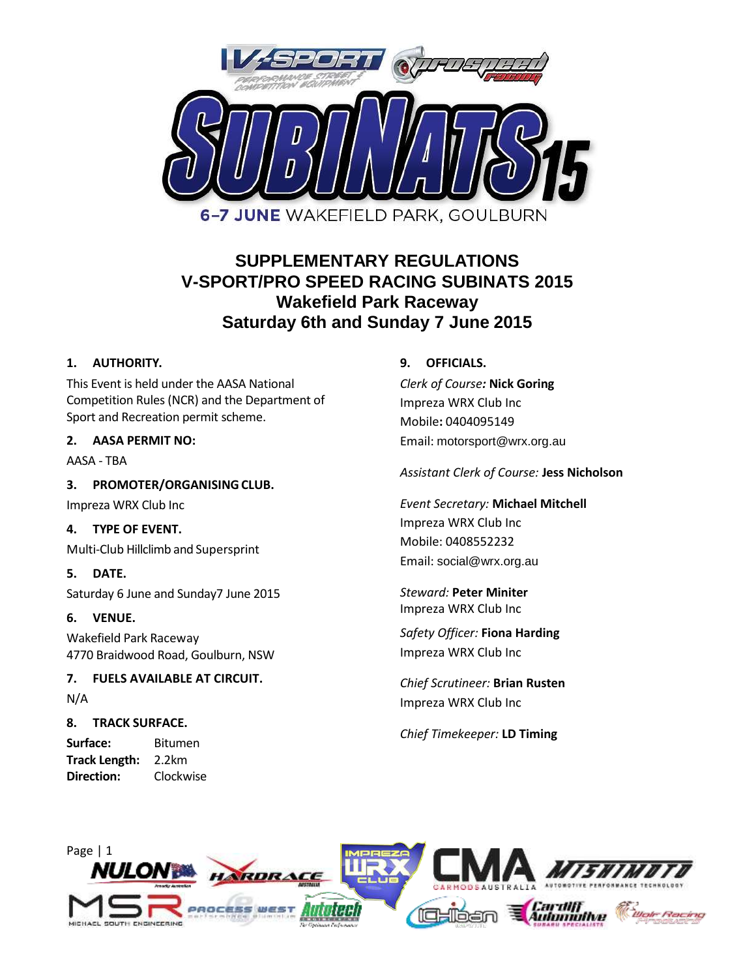

# **SUPPLEMENTARY REGULATIONS V-SPORT/PRO SPEED RACING SUBINATS 2015 Wakefield Park Raceway Saturday 6th and Sunday 7 June 2015**

## **1. AUTHORITY.**

This Event is held under the AASA National Competition Rules (NCR) and the Department of Sport and Recreation permit scheme.

## **2. AASA PERMIT NO:**

AASA - TBA

**3. PROMOTER/ORGANISINGCLUB.**

Impreza WRX Club Inc

## **4. TYPE OF EVENT.**

Multi-Club Hillclimb and Supersprint

**5. DATE.** Saturday 6 June and Sunday7 June 2015

## **6. VENUE.**

Wakefield Park Raceway 4770 Braidwood Road, Goulburn, NSW

## **7. FUELS AVAILABLE AT CIRCUIT.** N/A

## **8. TRACK SURFACE.**

**Surface:** Bitumen **Track Length:** 2.2km **Direction:** Clockwise

## **9. OFFICIALS.**

*Clerk of Course:* **Nick Goring** Impreza WRX Club Inc Mobile**:** 0404095149 Email: motorsport@wrx.org.au

*Assistant Clerk of Course:* **Jess Nicholson**

*Event Secretary:* **Michael Mitchell** Impreza WRX Club Inc Mobile: 0408552232 Email: social@wrx.org.au

*Steward:* **Peter Miniter** Impreza WRX Club Inc

*Safety Officer:* **Fiona Harding** Impreza WRX Club Inc

*Chief Scrutineer:* **Brian Rusten** Impreza WRX Club Inc

*Chief Timekeeper:* **LD Timing**

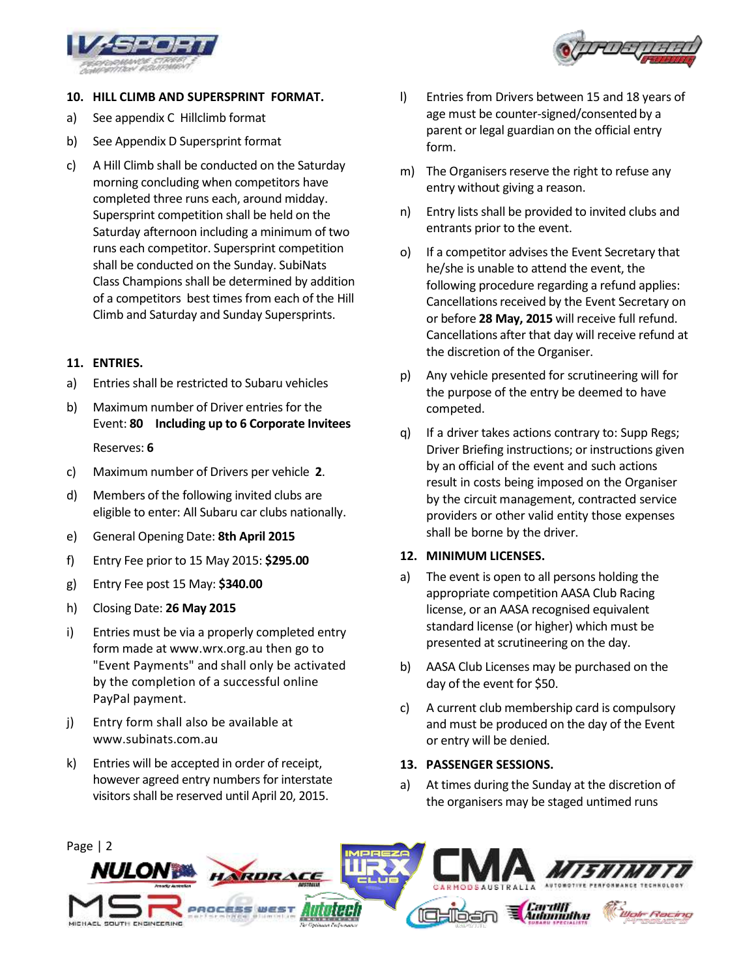



## **10. HILL CLIMB AND SUPERSPRINT FORMAT.**

- a) See appendix C Hillclimb format
- b) See Appendix D Supersprint format
- c) A Hill Climb shall be conducted on the Saturday morning concluding when competitors have completed three runs each, around midday. Supersprint competition shall be held on the Saturday afternoon including a minimum of two runs each competitor. Supersprint competition shall be conducted on the Sunday. SubiNats Class Champions shall be determined by addition of a competitors best times from each of the Hill Climb and Saturday and Sunday Supersprints.

## **11. ENTRIES.**

- a) Entries shall be restricted to Subaru vehicles
- b) Maximum number of Driver entries for the Event: **80 Including up to 6 Corporate Invitees** Reserves: **6**
- c) Maximum number of Drivers per vehicle **2**.
- d) Members of the following invited clubs are eligible to enter: All Subaru car clubs nationally.
- e) General Opening Date: **8th April 2015**
- f) Entry Fee prior to 15 May 2015: **\$295.00**
- g) Entry Fee post 15 May: **\$340.00**
- h) Closing Date: **26 May 2015**
- i) Entries must be via a properly completed entry form made at www.wrx.org.au then go to "Event Payments" and shall only be activated by the completion of a successful online PayPal payment.
- j) Entry form shall also be available at www.subinats.com.au
- k) Entries will be accepted in order of receipt, however agreed entry numbers for interstate visitors shall be reserved until April 20, 2015.
- l) Entries from Drivers between 15 and 18 years of age must be counter-signed/consented by a parent or legal guardian on the official entry form.
- m) The Organisers reserve the right to refuse any entry without giving a reason.
- n) Entry lists shall be provided to invited clubs and entrants prior to the event.
- o) If a competitor advises the Event Secretary that he/she is unable to attend the event, the following procedure regarding a refund applies: Cancellations received by the Event Secretary on or before **28 May, 2015** will receive full refund. Cancellations after that day will receive refund at the discretion of the Organiser.
- p) Any vehicle presented for scrutineering will for the purpose of the entry be deemed to have competed.
- q) If a driver takes actions contrary to: Supp Regs; Driver Briefing instructions; or instructions given by an official of the event and such actions result in costs being imposed on the Organiser by the circuit management, contracted service providers or other valid entity those expenses shall be borne by the driver.

### **12. MINIMUM LICENSES.**

- a) The event is open to all persons holding the appropriate competition AASA Club Racing license, or an AASA recognised equivalent standard license (or higher) which must be presented at scrutineering on the day.
- b) AASA Club Licenses may be purchased on the day of the event for \$50.
- c) A current club membership card is compulsory and must be produced on the day of the Event or entry will be denied.

## **13. PASSENGER SESSIONS.**

a) At times during the Sunday at the discretion of the organisers may be staged untimed runs

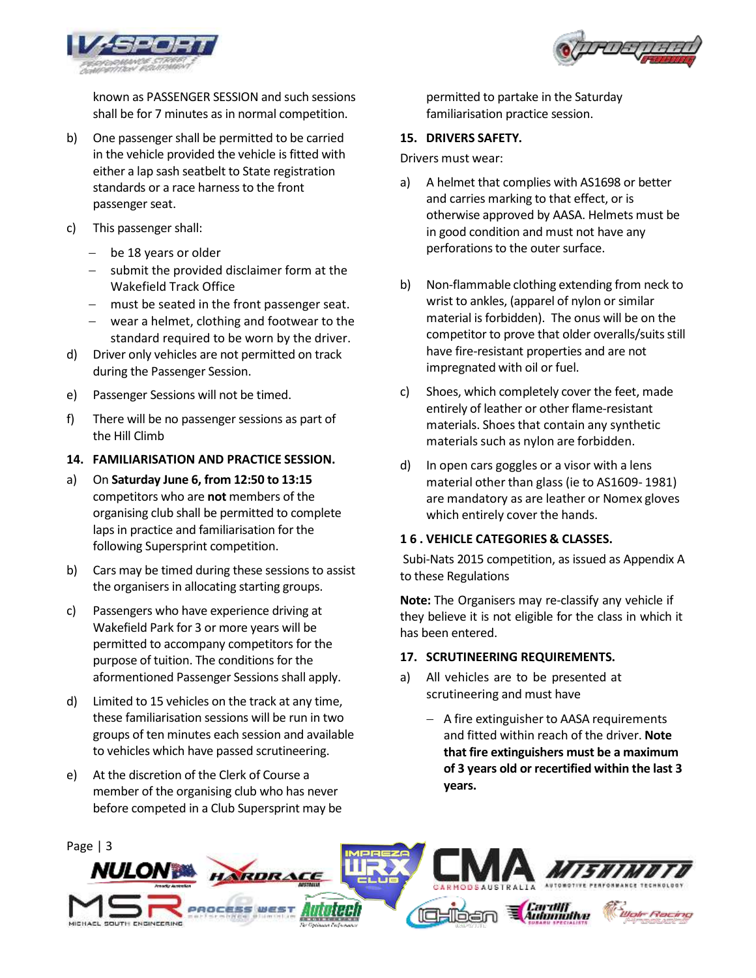



known as PASSENGER SESSION and such sessions shall be for 7 minutes as in normal competition.

- b) One passenger shall be permitted to be carried in the vehicle provided the vehicle is fitted with either a lap sash seatbelt to State registration standards or a race harness to the front passenger seat.
- c) This passenger shall:
	- be 18 years or older
	- $-$  submit the provided disclaimer form at the Wakefield Track Office
	- must be seated in the front passenger seat.
	- wear a helmet, clothing and footwear to the standard required to be worn by the driver.
- d) Driver only vehicles are not permitted on track during the Passenger Session.
- e) Passenger Sessions will not be timed.
- f) There will be no passenger sessions as part of the Hill Climb
- **14. FAMILIARISATION AND PRACTICE SESSION.**
- a) On **Saturday June 6, from 12:50 to 13:15** competitors who are **not** members of the organising club shall be permitted to complete laps in practice and familiarisation for the following Supersprint competition.
- b) Cars may be timed during these sessions to assist the organisers in allocating starting groups.
- c) Passengers who have experience driving at Wakefield Park for 3 or more years will be permitted to accompany competitors for the purpose of tuition. The conditions for the aformentioned Passenger Sessions shall apply.
- d) Limited to 15 vehicles on the track at any time, these familiarisation sessions will be run in two groups of ten minutes each session and available to vehicles which have passed scrutineering.
- e) At the discretion of the Clerk of Course a member of the organising club who has never before competed in a Club Supersprint may be

permitted to partake in the Saturday familiarisation practice session.

### **15. DRIVERS SAFETY.**

Drivers must wear:

- a) A helmet that complies with AS1698 or better and carries marking to that effect, or is otherwise approved by AASA. Helmets must be in good condition and must not have any perforations to the outer surface.
- b) Non-flammable clothing extending from neck to wrist to ankles, (apparel of nylon or similar material is forbidden). The onus will be on the competitor to prove that older overalls/suits still have fire-resistant properties and are not impregnated with oil or fuel.
- c) Shoes, which completely cover the feet, made entirely of leather or other flame-resistant materials. Shoes that contain any synthetic materials such as nylon are forbidden.
- d) In open cars goggles or a visor with a lens material other than glass (ie to AS1609- 1981) are mandatory as are leather or Nomex gloves which entirely cover the hands.

### **16. VEHICLE CATEGORIES & CLASSES.**

Subi-Nats 2015 competition, as issued as Appendix A to these Regulations

**Note:** The Organisers may re-classify any vehicle if they believe it is not eligible for the class in which it has been entered.

#### **17. SCRUTINEERING REQUIREMENTS.**

- a) All vehicles are to be presented at scrutineering and must have
	- $-$  A fire extinguisher to AASA requirements and fitted within reach of the driver. **Note that fire extinguishers must be a maximum of 3 years old or recertified within the last 3 years.**

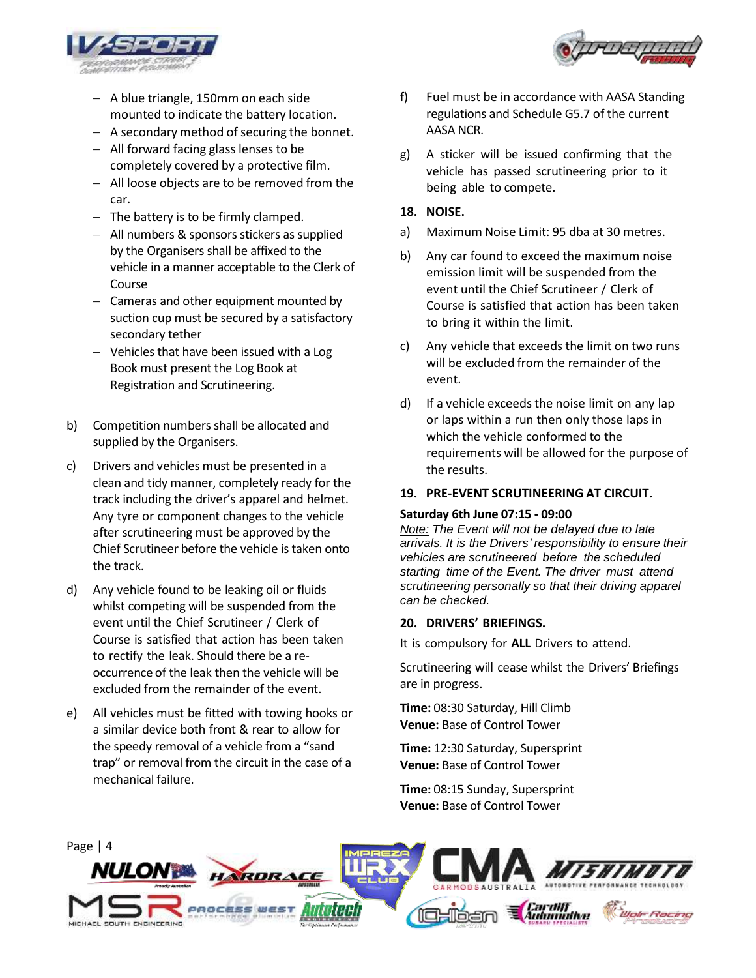

- A blue triangle, 150mm on each side mounted to indicate the battery location.
- A secondary method of securing the bonnet.
- All forward facing glass lenses to be completely covered by a protective film.
- All loose objects are to be removed from the car.
- $-$  The battery is to be firmly clamped.
- All numbers & sponsors stickers as supplied by the Organisers shall be affixed to the vehicle in a manner acceptable to the Clerk of Course
- Cameras and other equipment mounted by suction cup must be secured by a satisfactory secondary tether
- Vehicles that have been issued with a Log Book must present the Log Book at Registration and Scrutineering.
- b) Competition numbers shall be allocated and supplied by the Organisers.
- c) Drivers and vehicles must be presented in a clean and tidy manner, completely ready for the track including the driver's apparel and helmet. Any tyre or component changes to the vehicle after scrutineering must be approved by the Chief Scrutineer before the vehicle is taken onto the track.
- d) Any vehicle found to be leaking oil or fluids whilst competing will be suspended from the event until the Chief Scrutineer / Clerk of Course is satisfied that action has been taken to rectify the leak. Should there be a reoccurrence of the leak then the vehicle will be excluded from the remainder of the event.
- e) All vehicles must be fitted with towing hooks or a similar device both front & rear to allow for the speedy removal of a vehicle from a "sand trap" or removal from the circuit in the case of a mechanical failure.
- f) Fuel must be in accordance with AASA Standing regulations and Schedule G5.7 of the current AASA NCR.
- g) A sticker will be issued confirming that the vehicle has passed scrutineering prior to it being able to compete.

## **18. NOISE.**

- a) Maximum Noise Limit: 95 dba at 30 metres.
- b) Any car found to exceed the maximum noise emission limit will be suspended from the event until the Chief Scrutineer / Clerk of Course is satisfied that action has been taken to bring it within the limit.
- c) Any vehicle that exceeds the limit on two runs will be excluded from the remainder of the event.
- d) If a vehicle exceeds the noise limit on any lap or laps within a run then only those laps in which the vehicle conformed to the requirements will be allowed for the purpose of the results.

### **19. PRE-EVENT SCRUTINEERING AT CIRCUIT.**

#### **Saturday 6th June 07:15 - 09:00**

*Note: The Event will not be delayed due to late arrivals. It is the Drivers' responsibility to ensure their vehicles are scrutineered before the scheduled starting time of the Event. The driver must attend scrutineering personally so that their driving apparel can be checked.*

### **20. DRIVERS' BRIEFINGS.**

It is compulsory for **ALL** Drivers to attend.

Scrutineering will cease whilst the Drivers' Briefings are in progress.

**Time:** 08:30 Saturday, Hill Climb **Venue:** Base of Control Tower

**Time:** 12:30 Saturday, Supersprint **Venue:** Base of Control Tower

**Time:** 08:15 Sunday, Supersprint **Venue:** Base of Control Tower



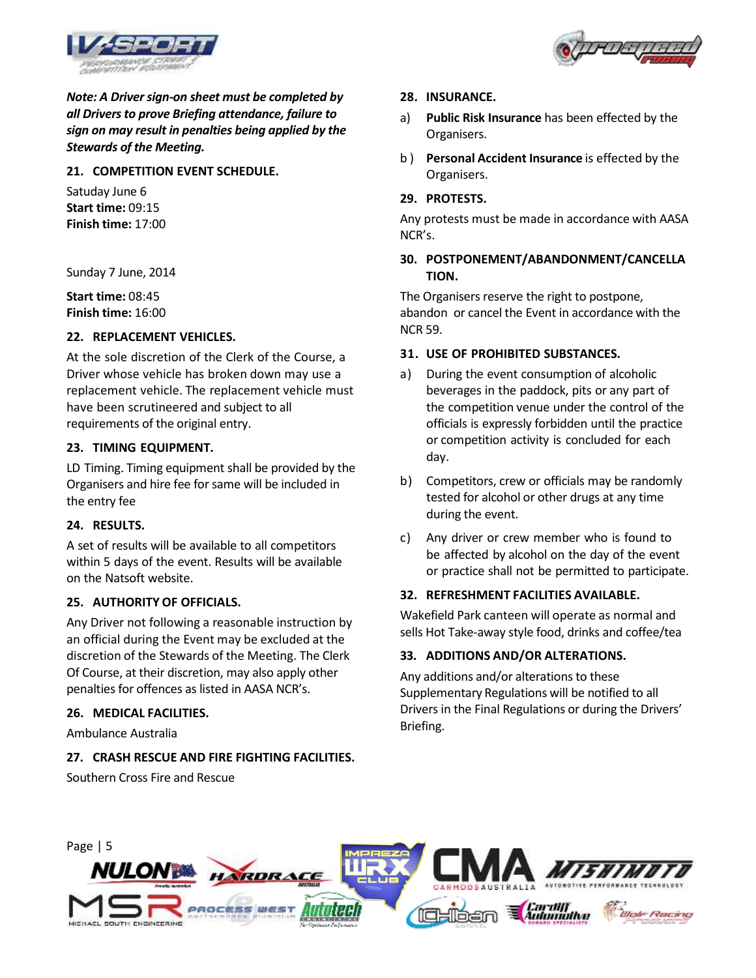

*Note: A Driver sign-on sheet must be completed by all Drivers to prove Briefing attendance, failure to sign on may result in penalties being applied by the Stewards of the Meeting.*

## **21. COMPETITION EVENT SCHEDULE.**

Satuday June 6 **Start time:** 09:15 **Finish time:** 17:00

Sunday 7 June, 2014

**Start time:** 08:45 **Finish time:** 16:00

### **22. REPLACEMENT VEHICLES.**

At the sole discretion of the Clerk of the Course, a Driver whose vehicle has broken down may use a replacement vehicle. The replacement vehicle must have been scrutineered and subject to all requirements of the original entry.

## **23. TIMING EQUIPMENT.**

LD Timing. Timing equipment shall be provided by the Organisers and hire fee for same will be included in the entry fee

### **24. RESULTS.**

A set of results will be available to all competitors within 5 days of the event. Results will be available on the Natsoft website.

### **25. AUTHORITY OF OFFICIALS.**

Any Driver not following a reasonable instruction by an official during the Event may be excluded at the discretion of the Stewards of the Meeting. The Clerk Of Course, at their discretion, may also apply other penalties for offences as listed in AASA NCR's.

### **26. MEDICAL FACILITIES.**

Ambulance Australia

## **27. CRASH RESCUE AND FIRE FIGHTING FACILITIES.**

Southern Cross Fire and Rescue

#### **28. INSURANCE.**

- a) **Public Risk Insurance** has been effected by the Organisers.
- b ) **Personal Accident Insurance** is effected by the Organisers.

#### **29. PROTESTS.**

Any protests must be made in accordance with AASA NCR's.

### **30. POSTPONEMENT/ABANDONMENT/CANCELLA TION.**

The Organisers reserve the right to postpone, abandon or cancel the Event in accordance with the NCR 59.

### **31. USE OF PROHIBITED SUBSTANCES.**

- During the event consumption of alcoholic beverages in the paddock, pits or any part of the competition venue under the control of the officials is expressly forbidden until the practice or competition activity is concluded for each day.
- b) Competitors, crew or officials may be randomly tested for alcohol or other drugs at any time during the event.
- c) Any driver or crew member who is found to be affected by alcohol on the day of the event or practice shall not be permitted to participate.

### **32. REFRESHMENT FACILITIES AVAILABLE.**

Wakefield Park canteen will operate as normal and sells Hot Take-away style food, drinks and coffee/tea

### **33. ADDITIONS AND/OR ALTERATIONS.**

Any additions and/or alterations to these Supplementary Regulations will be notified to all Drivers in the Final Regulations or during the Drivers' Briefing.



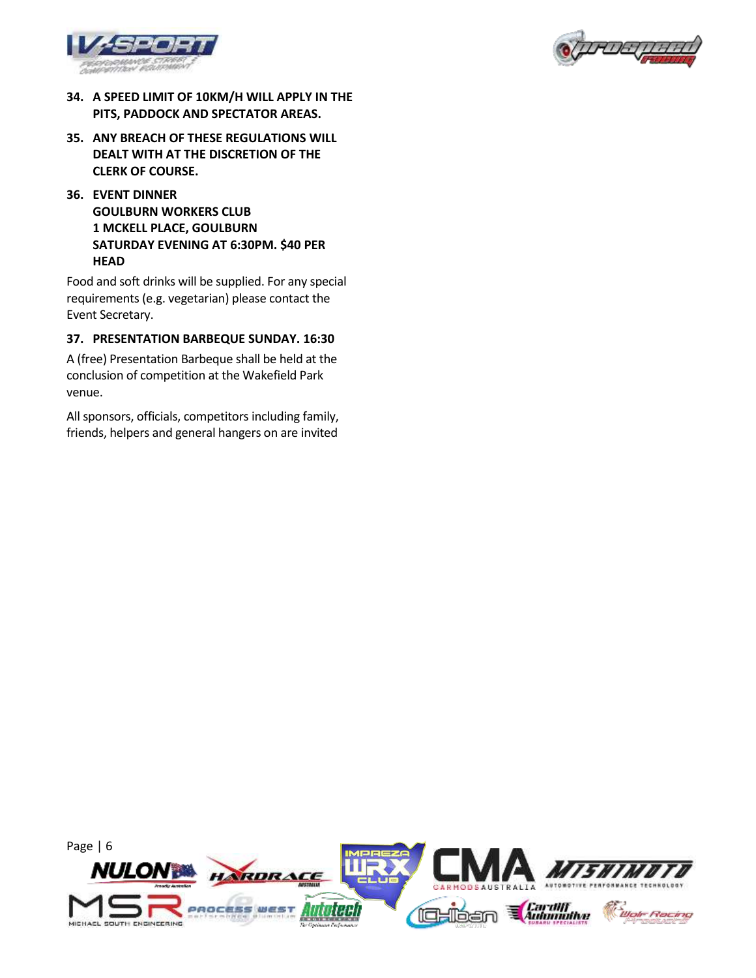



- **34. A SPEED LIMIT OF 10KM/H WILL APPLY IN THE PITS, PADDOCK AND SPECTATOR AREAS.**
- **35. ANY BREACH OF THESE REGULATIONS WILL DEALT WITH AT THE DISCRETION OF THE CLERK OF COURSE.**
- **36. EVENT DINNER GOULBURN WORKERS CLUB 1 MCKELL PLACE, GOULBURN SATURDAY EVENING AT 6:30PM. \$40 PER HEAD**

Food and soft drinks will be supplied. For any special requirements (e.g. vegetarian) please contact the Event Secretary.

## **37. PRESENTATION BARBEQUE SUNDAY. 16:30**

A (free) Presentation Barbeque shall be held at the conclusion of competition at the Wakefield Park venue.

All sponsors, officials, competitors including family, friends, helpers and general hangers on are invited

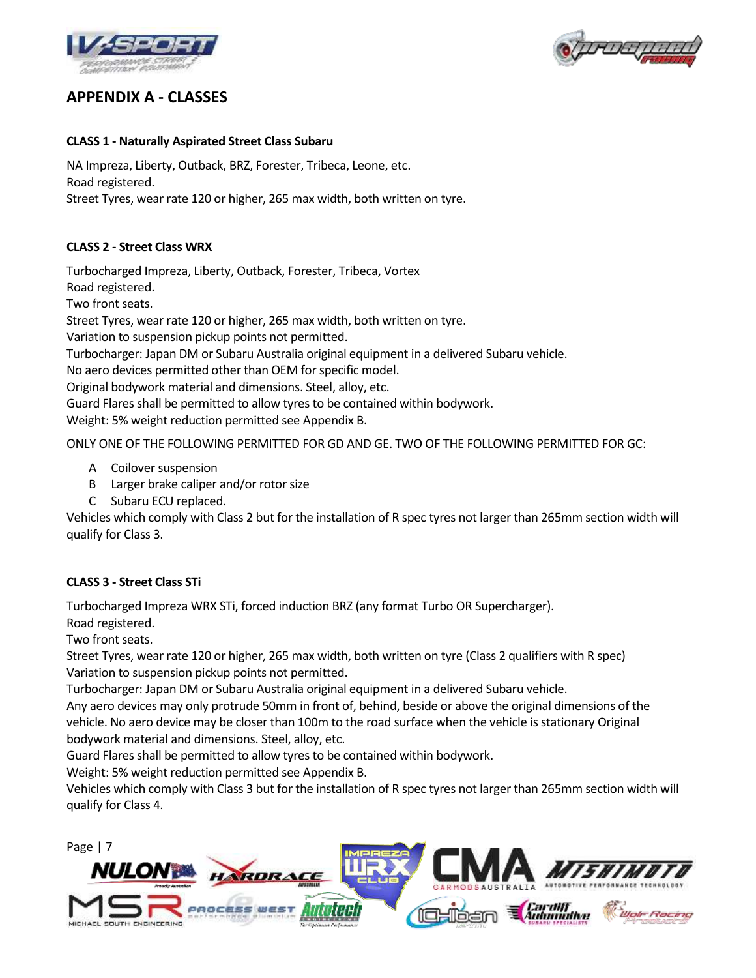



## **APPENDIX A - CLASSES**

## **CLASS 1 - Naturally Aspirated Street Class Subaru**

NA Impreza, Liberty, Outback, BRZ, Forester, Tribeca, Leone, etc. Road registered.

Street Tyres, wear rate 120 or higher, 265 max width, both written on tyre.

## **CLASS 2 - Street Class WRX**

Turbocharged Impreza, Liberty, Outback, Forester, Tribeca, Vortex

Road registered.

Two front seats.

Street Tyres, wear rate 120 or higher, 265 max width, both written on tyre.

Variation to suspension pickup points not permitted.

Turbocharger: Japan DM or Subaru Australia original equipment in a delivered Subaru vehicle.

No aero devices permitted other than OEM for specific model.

Original bodywork material and dimensions. Steel, alloy, etc.

Guard Flares shall be permitted to allow tyres to be contained within bodywork.

Weight: 5% weight reduction permitted see Appendix B.

ONLY ONE OF THE FOLLOWING PERMITTED FOR GD AND GE. TWO OF THE FOLLOWING PERMITTED FOR GC:

- A Coilover suspension
- B Larger brake caliper and/or rotor size
- C Subaru ECU replaced.

Vehicles which comply with Class 2 but for the installation of R spec tyres not larger than 265mm section width will qualify for Class 3.

## **CLASS 3 - Street Class STi**

Turbocharged Impreza WRX STi, forced induction BRZ (any format Turbo OR Supercharger).

Road registered.

Two front seats.

Street Tyres, wear rate 120 or higher, 265 max width, both written on tyre (Class 2 qualifiers with R spec) Variation to suspension pickup points not permitted.

Turbocharger: Japan DM or Subaru Australia original equipment in a delivered Subaru vehicle.

Any aero devices may only protrude 50mm in front of, behind, beside or above the original dimensions of the vehicle. No aero device may be closer than 100m to the road surface when the vehicle is stationary Original bodywork material and dimensions. Steel, alloy, etc.

Guard Flares shall be permitted to allow tyres to be contained within bodywork.

Weight: 5% weight reduction permitted see Appendix B.

Vehicles which comply with Class 3 but for the installation of R spec tyres not larger than 265mm section width will qualify for Class 4.

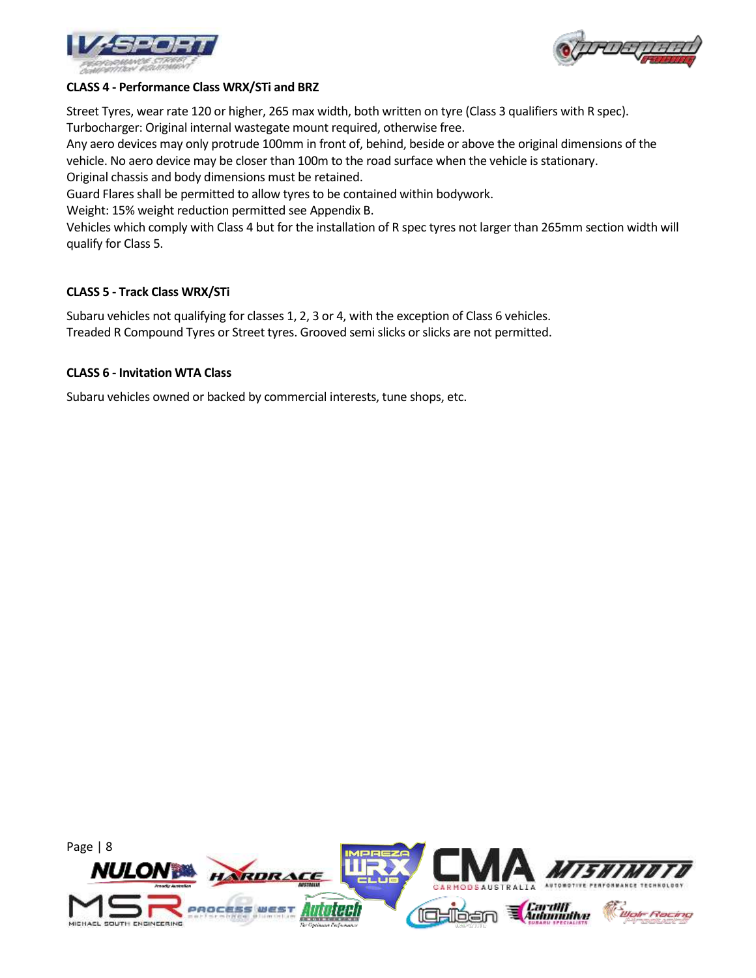



### **CLASS 4 - Performance Class WRX/STi and BRZ**

Street Tyres, wear rate 120 or higher, 265 max width, both written on tyre (Class 3 qualifiers with R spec). Turbocharger: Original internal wastegate mount required, otherwise free.

Any aero devices may only protrude 100mm in front of, behind, beside or above the original dimensions of the vehicle. No aero device may be closer than 100m to the road surface when the vehicle is stationary. Original chassis and body dimensions must be retained.

Guard Flares shall be permitted to allow tyres to be contained within bodywork.

Weight: 15% weight reduction permitted see Appendix B.

Vehicles which comply with Class 4 but for the installation of R spec tyres not larger than 265mm section width will qualify for Class 5.

## **CLASS 5 - Track Class WRX/STi**

Subaru vehicles not qualifying for classes 1, 2, 3 or 4, with the exception of Class 6 vehicles. Treaded R Compound Tyres or Street tyres. Grooved semi slicks or slicks are not permitted.

### **CLASS 6 - Invitation WTA Class**

Subaru vehicles owned or backed by commercial interests, tune shops, etc.

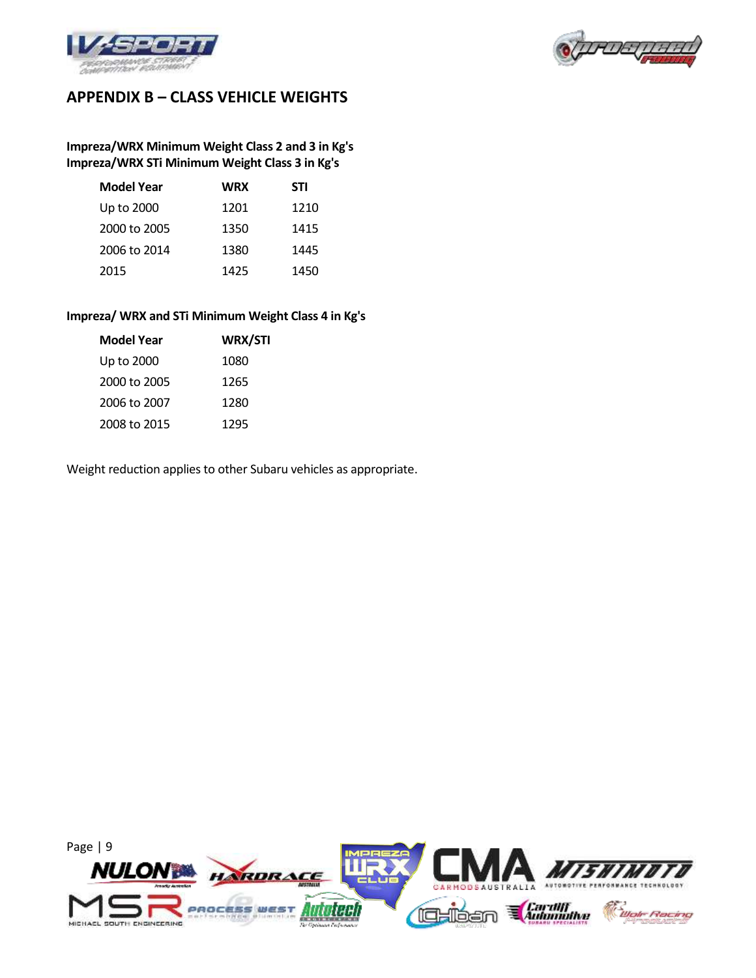



# **APPENDIX B – CLASS VEHICLE WEIGHTS**

## **Impreza/WRX Minimum Weight Class 2 and 3 in Kg's Impreza/WRX STi Minimum Weight Class 3 in Kg's**

| <b>Model Year</b> | <b>WRX</b> | STI  |
|-------------------|------------|------|
| Up to 2000        | 1201       | 1210 |
| 2000 to 2005      | 1350       | 1415 |
| 2006 to 2014      | 1380       | 1445 |
| 2015              | 1425       | 1450 |

### **Impreza/ WRX and STi Minimum Weight Class 4 in Kg's**

| WRX/STI |
|---------|
| 1080    |
| 1265    |
| 1280    |
| 1295    |
|         |

Weight reduction applies to other Subaru vehicles as appropriate.

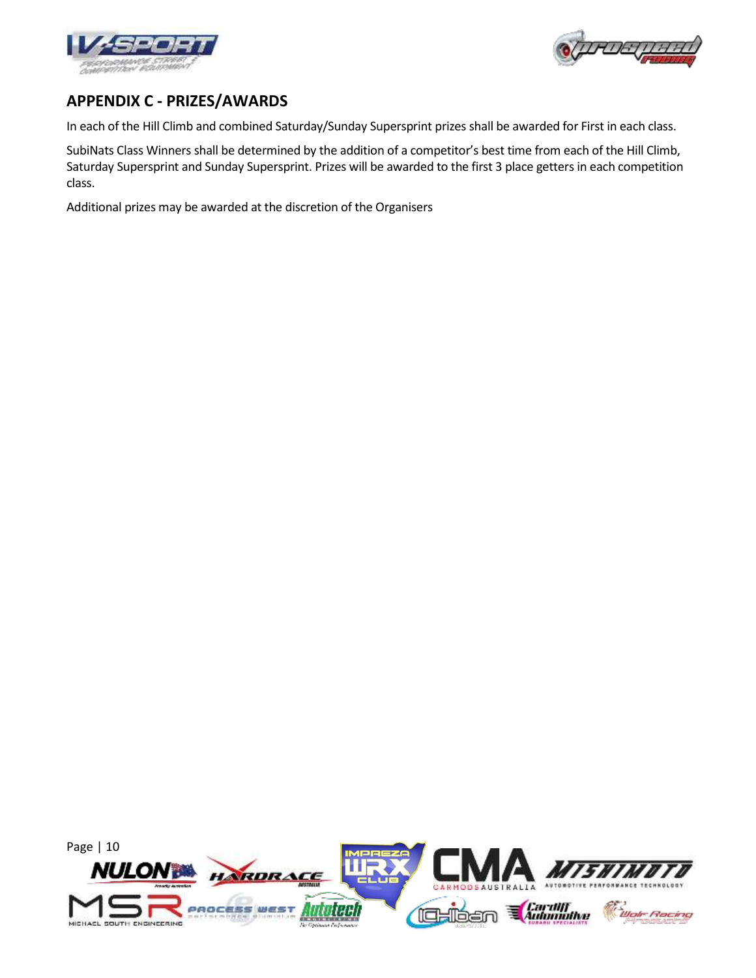



## **APPENDIX C - PRIZES/AWARDS**

In each of the Hill Climb and combined Saturday/Sunday Supersprint prizes shall be awarded for First in each class.

SubiNats Class Winners shall be determined by the addition of a competitor's best time from each of the Hill Climb, Saturday Supersprint and Sunday Supersprint. Prizes will be awarded to the first 3 place getters in each competition class.

Additional prizes may be awarded at the discretion of the Organisers

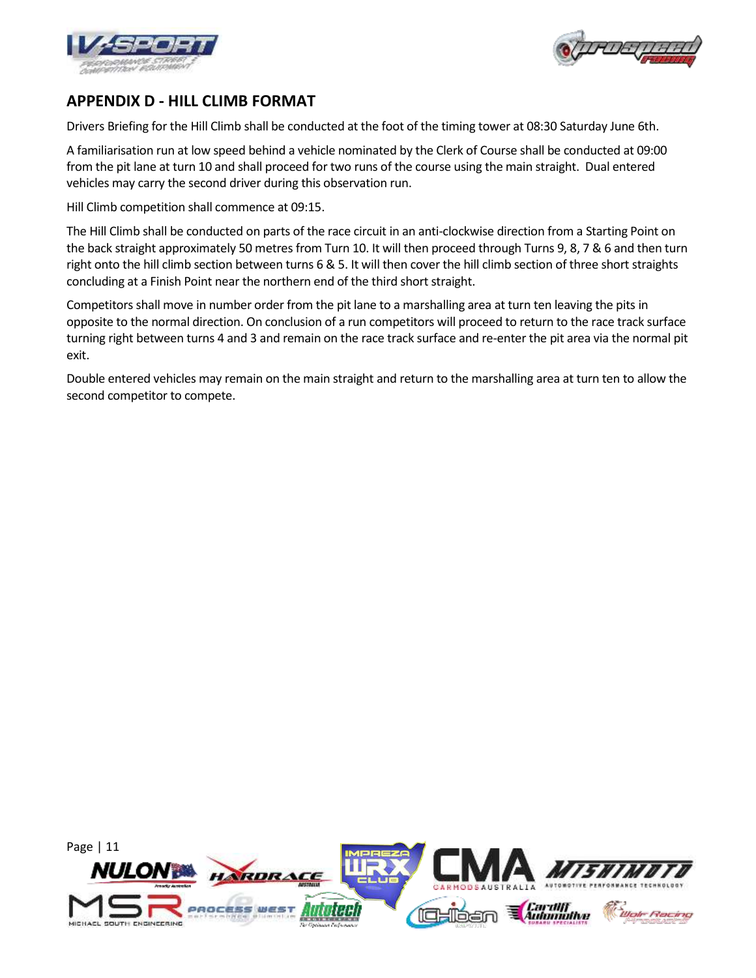



## **APPENDIX D - HILL CLIMB FORMAT**

Drivers Briefing for the Hill Climb shall be conducted at the foot of the timing tower at 08:30 Saturday June 6th.

A familiarisation run at low speed behind a vehicle nominated by the Clerk of Course shall be conducted at 09:00 from the pit lane at turn 10 and shall proceed for two runs of the course using the main straight. Dual entered vehicles may carry the second driver during this observation run.

Hill Climb competition shall commence at 09:15.

The Hill Climb shall be conducted on parts of the race circuit in an anti-clockwise direction from a Starting Point on the back straight approximately 50 metres from Turn 10. It will then proceed through Turns 9, 8, 7 & 6 and then turn right onto the hill climb section between turns 6 & 5. It will then cover the hill climb section of three short straights concluding at a Finish Point near the northern end of the third short straight.

Competitors shall move in number order from the pit lane to a marshalling area at turn ten leaving the pits in opposite to the normal direction. On conclusion of a run competitors will proceed to return to the race track surface turning right between turns 4 and 3 and remain on the race track surface and re-enter the pit area via the normal pit exit.

Double entered vehicles may remain on the main straight and return to the marshalling area at turn ten to allow the second competitor to compete.

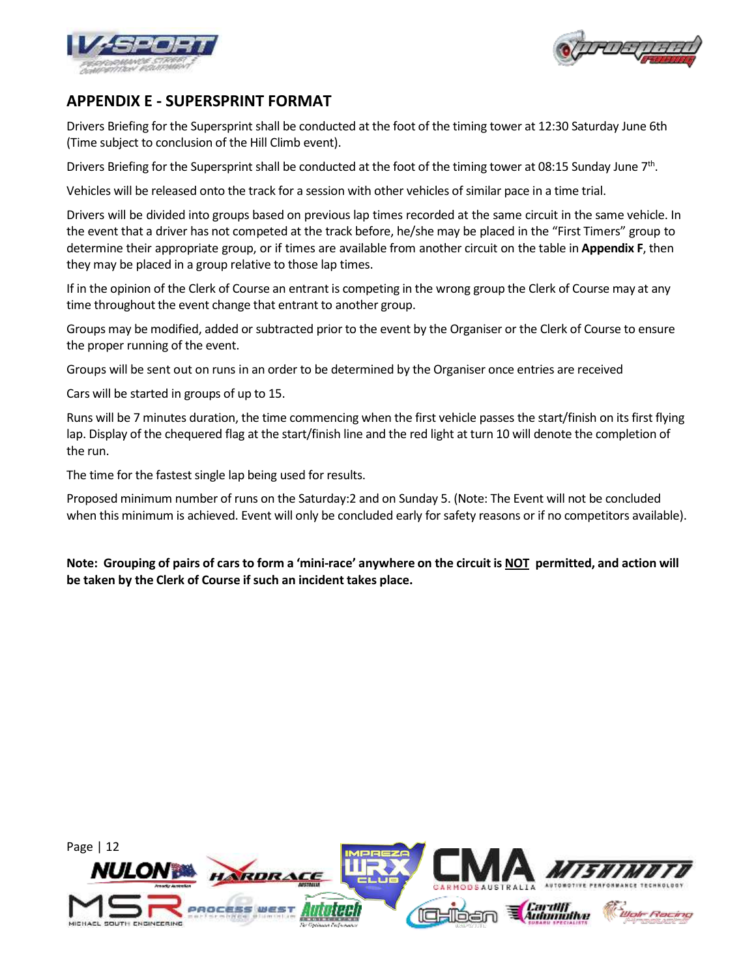



## **APPENDIX E - SUPERSPRINT FORMAT**

Drivers Briefing for the Supersprint shall be conducted at the foot of the timing tower at 12:30 Saturday June 6th (Time subject to conclusion of the Hill Climb event).

Drivers Briefing for the Supersprint shall be conducted at the foot of the timing tower at 08:15 Sunday June 7<sup>th</sup>.

Vehicles will be released onto the track for a session with other vehicles of similar pace in a time trial.

Drivers will be divided into groups based on previous lap times recorded at the same circuit in the same vehicle. In the event that a driver has not competed at the track before, he/she may be placed in the "First Timers" group to determine their appropriate group, or if times are available from another circuit on the table in **Appendix F**, then they may be placed in a group relative to those lap times.

If in the opinion of the Clerk of Course an entrant is competing in the wrong group the Clerk of Course may at any time throughout the event change that entrant to another group.

Groups may be modified, added or subtracted prior to the event by the Organiser or the Clerk of Course to ensure the proper running of the event.

Groups will be sent out on runs in an order to be determined by the Organiser once entries are received

Cars will be started in groups of up to 15.

Runs will be 7 minutes duration, the time commencing when the first vehicle passes the start/finish on its first flying lap. Display of the chequered flag at the start/finish line and the red light at turn 10 will denote the completion of the run.

The time for the fastest single lap being used for results.

Proposed minimum number of runs on the Saturday:2 and on Sunday 5. (Note: The Event will not be concluded when this minimum is achieved. Event will only be concluded early for safety reasons or if no competitors available).

Note: Grouping of pairs of cars to form a 'mini-race' anywhere on the circuit is NOT permitted, and action will **be taken by the Clerk of Course if such an incident takes place.**